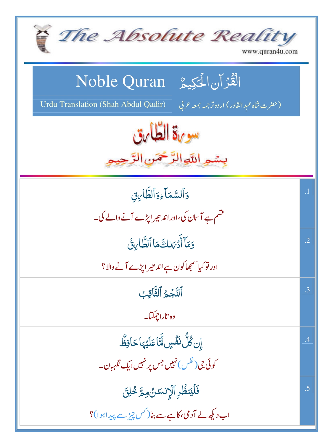| The Absolute Reality<br>www.quran4u.com                                                                                           |                 |
|-----------------------------------------------------------------------------------------------------------------------------------|-----------------|
| الْقُرْآن الْحَكِيمُ ِ Noble Quran<br>(حفرت شاه عبدالقادر) اردوترجمه ب <del>معه</del> عربي<br>Urdu Translation (Shah Abdul Qadir) |                 |
| سورة الطارق<br>بسمه اللهالرَّحْمَنِ الرَّحِ                                                                                       |                 |
| وَٱلسَّمَاءِوَٱلطَّا <i>َنِ</i> قِ<br>فشم ہے آسان کی،اور اند حیر اپڑے آنے والے کی۔                                                | $\cdot$ 1       |
| وَمَآ أَدۡرَىٰلِنَّے مَاۤ ٱلطَّابِنُّ<br>اور نوکیا سمجھا کون ہے اند حیر ایڑے آنے والا؟                                            | $\cdot$ .2      |
| ٱلتَّجُمُ ٱلثَّاقِبُ<br>وه تاراچمکتا۔                                                                                             | $.3\phantom{0}$ |
| ٳۣڹڴڷؙٮڟٞڛۣڵٮؖٞٵڡؘڶؽٙؠٵڂٳڣۨڟ۠<br>کوئی جی(ٹفس) نہیں جس پر نہیں ایک نگہبان۔                                                         | .4              |
| فَلَيَنظُرِ ٱلْإِنسَنُ مِمَّ خُلِقَ<br>اب دیکھ لے آدمی، کاہے سے بنا( کس چیز سے پیداہوا)؟                                          | .5              |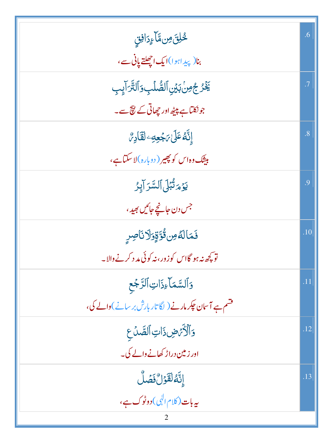| <u>ڴڸ</u> ۜ۬ؾٙ <i>ۄ</i> ڹ۩ؘۜٳۦٟڗٳڣؾؚ                               | .6             |
|--------------------------------------------------------------------|----------------|
| بنا(پیداہوا)ایک اچھلتے پانی سے،                                    |                |
| يَّذُرُ جُونِ بَيْنِ ٱلصُّلَبِ وَٱلتَّرَايِبِ                      | $\cdot$ 7      |
| جونکتاہے پیٹھ اور چھاتی کے نیچ سے۔                                 |                |
| ٳڐ <sub>ۜ</sub> ۠ۿڡؘڶ؆ڋڿڡؚٷ <mark>ڷڡٞ</mark> ٳڔ <i>؇۠</i>          | $\overline{8}$ |
| مېينک وه اس کو پ <u>ھير ( دوباره</u> )لاسکتاہے،                    |                |
| يَوۡمَتُبۡلَى ٱلسَّرَ آيِرُ                                        | .9             |
| جس دن جانجے جائیں بھید ،                                           |                |
| فَمَالَهُ مِن قُوَّقٍوَلَا نَاصِرٍ                                 | .10            |
| تو کچھ نہ ہو گااس کو زور، نہ کوئی مد د کرنے والا۔                  |                |
| وَٱلسَّمَاءِذَاتِ ٱلرَّجْع                                         | .11            |
| قشم ہے آسان <del>ج</del> کر مارنے ( لگا تار بارش بر سانے )والے کی، |                |
| وَٱلْأَيْهِضِ ذَاتِ ٱلصَّدِّعِ                                     | .12            |
| اور زمین دراڑ کھانے والے کی۔                                       |                |
| إِنَّهُ لَقَوْلٌ فَصَلَّ                                           | .13            |
| ىيەبات (كلام ال <mark>ىي) دوٹوك ہے،</mark>                         |                |
|                                                                    |                |